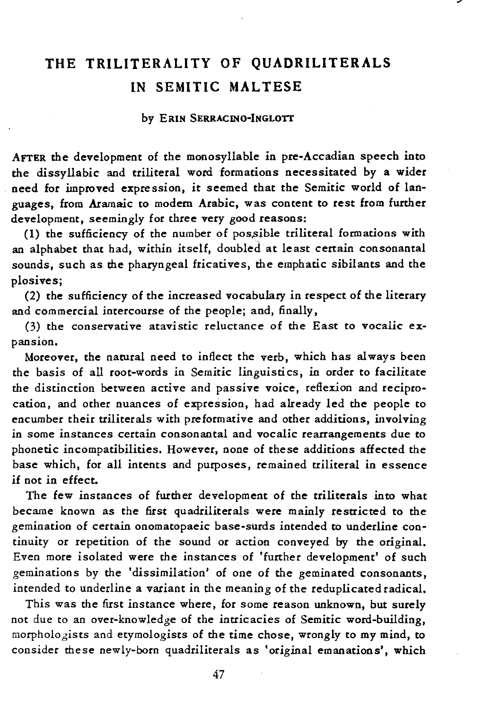# **THE TRILITERALITY OF QUADRILITERALS IN SEMITIC MALTESE**

#### by ERIN SERRACINO-INGLOTT

AFTER the development of the monosyllable in pre-Accadian speech into the dissyllabic and triliteral word formations necessitated by a wider need for improved expression, it seemed that the Semitic world of languages, from Aramaic to modem Arabic, was content to rest from further development, seemingly for three very good reasons:

(1) the sufficiency of the number of possible triliteral formations with an alphabet that had, within itself, doubled at least certain consonantal sounds, such as the pharyngeal fricatives, the emphatic sibilants and the plosives;

(2) the sufficiency of the increased vocabulary in respect of the literary and commercial intercourse of the people; and, finally,

(3) the conservative atavistic reluctance of the East to vocalic expansion.

Moreover, the natural need to inflect the verb, which has always been the basis of all root-words in Semitic linguistics, in order to facilitate the distinction between active and passive voice, reflexion and reciprocation, and other nuances of expression, had already led the people to encumber their triliterals with preformative and other additions, involving in some instances certain consonantal and vocalic rearrangements due to phonetic incompatibilities. However, none of these additions affected the base which, for all intents and purposes, remained triliteral in essence if not in effect.

The few instances of further development of the triliterals into what became known as the first quadriliterals were mainly restricted to the gemination of certain onomatopaeic base-surds intended to underline continuity or repetition of the sound or action conveyed by the original. Even more isolated were the instances of 'further development' of such geminations by the 'dissimilation' of one of the geminated consonants, intended to underline a variant in the meaning of the reduplicated radical.

This was the first instance where, for some reason unknown, but surely not due to an over-knowledge of the intricacies of Semitic word-building, morphologists and etymologists of the time chose, wrongly to my mind, to consider these newly-born quadriliterals as 'original emanations', which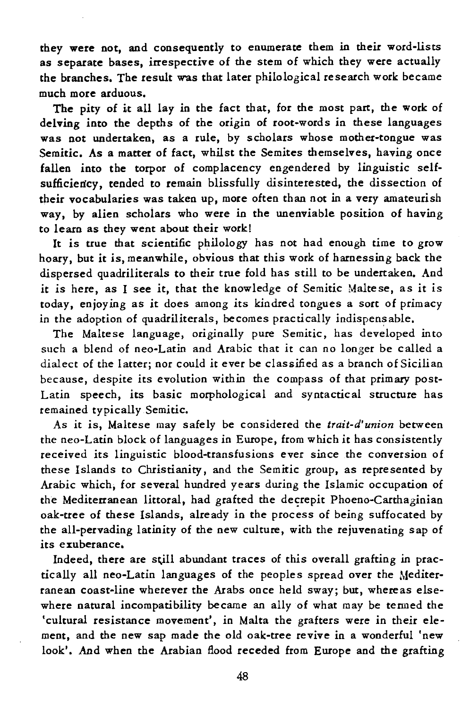they were not, and consequently to enumerate them in their word-lists as separate bases, irrespective of the stem of which they were actually the branches. The result was that later philological research work became much more arduous.

The pity of it all lay in the fact that, for the most part, the work of delving into the depths of the origin of root-words in these languages was not undertaken, as a rule, by scholars whose mother-tongue was Semitic. As a matter of fact, whilst the Semites themselves, having once fallen into the torpor of complacency engendered by linguistic selfsufficiency, tended to remain blissfully disinterested, the dissection of their vocabularies was taken up, more often than not in a very amateurish way, by alien scholars who were in the unenviable position of having to learn as they went about their work!

It is true that scientific philology has not had enough time to grow hoary, but it is, meanwhile, obvious that this work of harnessing back the dispersed quadriliterals to their true fold has still to be undertaken. And it is here, as I see *it,* that the knowledge of Semitic Maltese, as *it* is today, enjoying as it does among its kindred tongues a sort of primacy in the adoption of quadriliterals, becomes practically indispensable.

The Maltese language, originally pure Semitic, has developed into such a blend of neo-Latin and Arabic that it can no longer be called a dialect of the latter; nor could it ever be classified as a branch of Sicilian because, despite *its* evolution within the compass of that primary post-Latin speech, its basic morphological and syntactical structure has remained typically Semitic.

As it is, Maltese may safely be considered the *trait-d'union* between the neo-Latin block of languages in Europe, from which it has consistently received its *linguistic* blood-transfusions ever since the conversion of these Islands to Christianity, and the Semitic group, as represented by Arabic which, for several hundred years during the Islamic occupation of the Mediterranean littoral, had grafted the decrepit Phoeno-Carthaginian oak-tree of these Islands, already in the process of being suffocated by the all-pervading latinity of the new culture, with the rejuvenating sap of its exuberance.

Indeed, there are still abundant traces of this overall grafting in practically all neo-Latin languages of the peoples spread over the Mediterranean coast-line wherever the Arabs once held sway; but, whereas elsewhere natural incompatibility became an ally of what may be termed the 'cultural resistance movement', in Malta the grafters were in their element, and the new sap made the old oak-tree revive in a wonderful 'new look'. And when the Arabian flood receded from Europe and the grafting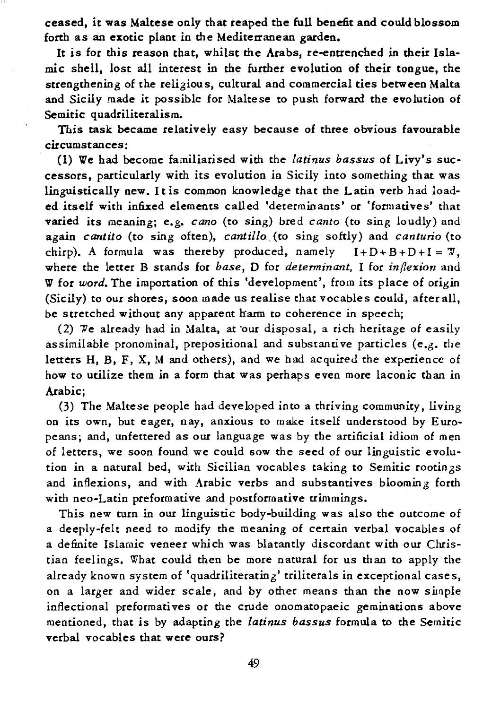ceased, it was Maltese only that reaped the full benefit and could blossom forth as an exotic plant in the Mediterranean garden.

It is for this reason that, whilst the Arabs, re-enttenched in their Islamic shell, lost all interest in the further evolution of their tongue, the strengthening of the religious, cultural and commercial ties between Malta and Sicily made it possible for Maltese to push forward the evolution of Semitic quadriliteralism.

This task became relatively easy because of three obvious favourable circumstances:

(1) We had become familiarised with the *latinus bassus* of Livy's successors, particularly with its evolution in Sicily into something that was linguistically new. I t is common knowledge that the Latin verb had loaded itself with infixed elements called 'determinants' or 'formatives' that varied its meaning; e.g. *cano* (to sing) bred *canto* (to sing loudly) and again *cantito* (to sing often), *cantillo,* (to sing softly) and *canturio* (to chirp). A formula was thereby produced, namely  $I+D+B+D+I = \mathcal{V}$ , where the letter B stands for *base*, D for *determinant*, I for *inflexion* and W for *word.* The importation of this 'development', from its place of origin (Sicily) to our shores, soon made us realise that vocables could, after all, be stretched without any apparent harm to coherence in speech;

(2) We already had in Malta, at our disposal, a rich heritage of easily assimilable pronominal, prepositional and substantive particles (e.g. the letters H, B, F, X, M and others), and we had acquired the experience of how to utilize them in a form that was perhaps even more laconic than in Arabic;

(3) The Maltese people had developed into a thriving community, living on its own, but eager, nay, anxious to make itself understood by E uropeans; and, unfettered as our language was by the artificial idiom of men of letters, we soon found we could sow the seed of our linguistic evolution in a natural bed, with Sicilian vocables taking to Semitic rootinzs and inflexions, and with Arabic verbs and substantives blooming forth with neo-Latin preformative and postfonaative trimmings.

This new turn in our linguistic body-building was also the outcome of a deeply-felt need to modify the meaning of certain verbal vocables of a definite Islamic veneer which was blatantly discordant with our Christian feelings. What could then be more natural for us than to apply the already known system of 'quadriliterating' triliterals in exceptional cases, on a larger and wider scale, and by other means than the now simple inflectional preformatives or the crude onomatopaeic geminations above mentioned, that is by adapting the *latinus bassus* formula to the Semitic verbal vocables that were ours?

49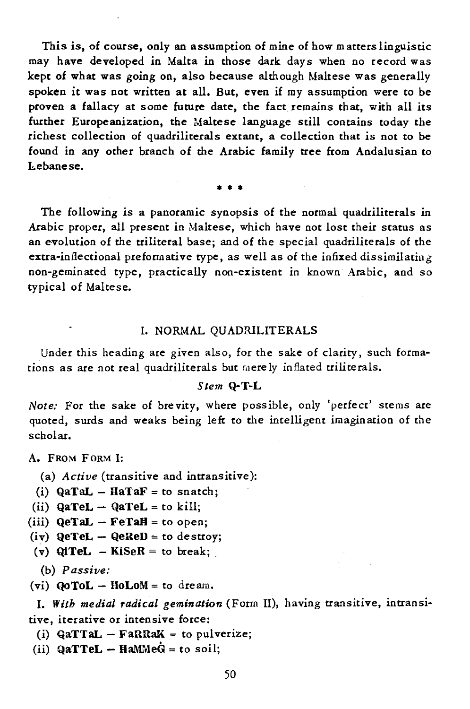This is, of course, only an assumption of mine of how m atters linguistic may have developed in Malta in those dark days when no record was kept of what was going on, also because although Maltese was generally spoken it was not written at all. But, even if my assumption were to be proven a fallacy at some future date, the fact remains that, with all its further Europeanization, the Maltese language still contains today the richest collection of quadriliterals extant, a collection that is not to be found in any other branch of the Arabic family tree from Andalusian to hebanese.

• • •

The following is a panoramic synopsis of the normal quadriliterals in Arabic proper, all present in Maltese, which have not lost their status as an evolution of the triliteral base; and of the special quadriliterals of the extra·infleccional preformative type, as well as of the infixed dissimilating non-geminated type, practically non-existent in known Arabic, and so typical of Maltese.

#### I. NORMAL QUADRILITERALS

Under this heading are given also, for the sake of clarity, such formations as are not real quadriliterals but merely inflated triliterals.

#### *Stem* Q-T-L

*Note:* For the sake of brevity, where possible, only 'perfect' stems are quoted, surds and weaks being left to the intelligent imagination of the scholar.

A. FROM FORM I:

(a) *Active* (transitive and intransitive):

(i)  $QaTaL - HaTaF = to snatch;$ 

(ii)  $Q$ aTeL -  $Q$ aTeL = to kill;

- (iii)  $QeTaL FeTaH = to open;$
- $(iv)$  QeTeL QeReD = to destroy;
- (v)  $QiTel KiSeR = to break;$

(b) *Passive:* 

(vi)  $QoTOL - Hol <sub>1</sub> = to dream.$ 

I. *With medial radical gemination* (Form II), having transitive, intransitive, iterative or intensive force:

(i)  $QaTTaL - FARRAK = to \rho ulverize;$ 

(ii)  $QaTTEL - HaMMeG = to soil;$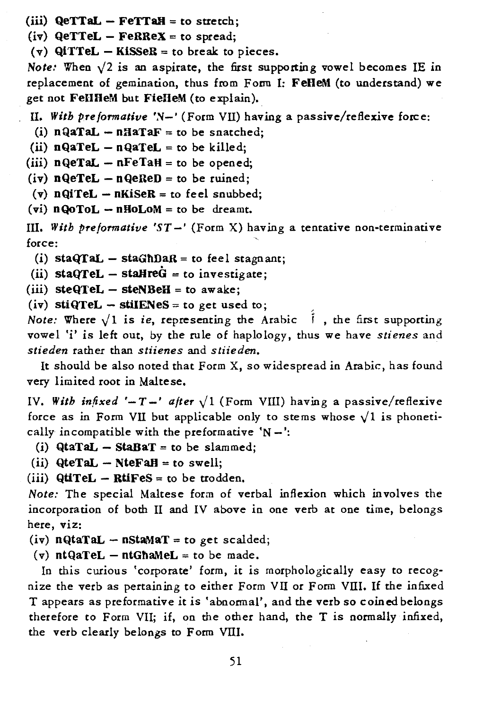(iii)  $QeTTaL - FeTTaH = to stretch;$ 

 $(iv)$  QeTTeL - FeRReX = to spread;

(v)  $QiTTEL - KISSER =$  to break to pieces.

*Note:* When  $\sqrt{2}$  is an aspirate, the first supporting vowel becomes IE in replacement of gemination, thus from Form I: FeHeM (to understand) we get not FeHHeM but FieHeM (to explain).

II. With preformative 'N-' (Form VII) having a passive/reflexive force:

(i)  $nQaTaL - nHaTaF =$  to be snatched;

(ii)  $nQaTeL - nQaTeL =$  to be killed;

(iii)  $nQeTaL - nFeTaH =$  to be opened;

(iv)  $nQeTeL - nQeReD =$  to be ruined;

(v)  $nQiTel - nKisER = to feel snubbed;$ 

(vi)  $nQoToL - nHoLoM =$  to be dreamt.

III. *With preformative 'ST* -' (Form X) having a tentative non-terminative force:

(i) staQTaL  $-$  staGhDaR = to feel stagnant;

(ii) staQTeL - staHre $G =$  to investigate;

(iii)  $steQTel - steNBEH = to awake;$ 

(iv) stiQTeL - stiIENeS = to get used to;

*Note:* Where  $\sqrt{1}$  is *ie*, representing the Arabic  $\vec{i}$ , the first supporting vowel 'i' is left out, by the rule of haplology, thus we have *stienes* and *stieden* rather than *stiienes* and *stiiederz.* 

It should be also noted that Form X, so widespread in Arabic, has found very limited root in Maltese.

IV. With infixed '-T-' after  $\sqrt{1}$  (Form VIII) having a passive/reflexive force as in Form VII but applicable only to stems whose  $\sqrt{1}$  is phonetically incompatible with the preformative  $N -$ :

(i)  $Qtanal - staBar =$  to be slammed;

(ii)  $QteTaL - NteFaH = to swell;$ 

(iii)  $QtiTEL - RtiFES = to be trodden.$ 

*Note:* The special Maltese form of verbal inflexion which involves the incorporation of both II and IV above in one verb at one time, belongs here, viz:

(iv)  $nQtaTaL - nStaMaT = to get scaled;$ 

(v)  $ntQaTEL - ntGhaMeL = to be made.$ 

In this curious 'corporate' form, it is morphologically easy to recognize the verb as pertaining to either Form VII or Form VIII. If the in fixed T appears as preformative it is 'abnormal', and the verb so coined belongs therefore to Form VII; if, on the other hand, the T is normally infixed, the verb clearly belongs to Form VIII.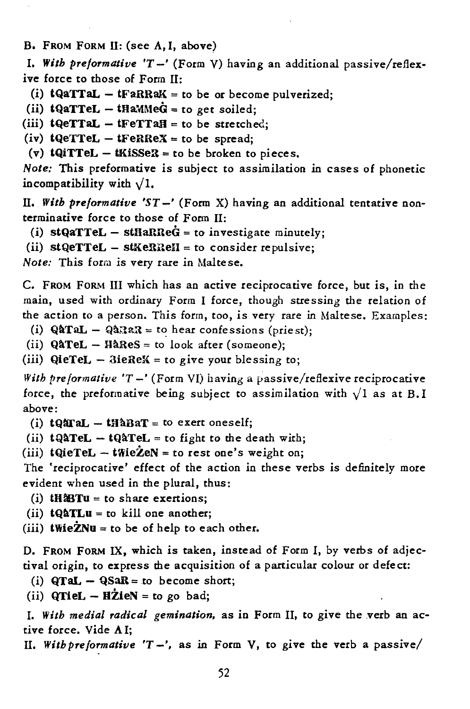B. FROM FORM II: (see A.I. above)

*I. With pre/ormative 'T* -' (Form V) having an additional passive/reflexive force to those of Form II:

(i)  $tQaTTaL - tFaRRaK = to be of the order  $pQ$$ 

(ii)  $tQaTTEL - tHaMMeG = to get solid;$ 

(iii)  $to = +\text{if} = \text{if} = \text{if} = \text{if} = \text{if} = \text{if} = \text{if} = \text{if} = \text{if} = \text{if} = \text{if} = \text{if} = \text{if} = \text{if} = \text{if} = \text{if} = \text{if} = \text{if} = \text{if} = \text{if} = \text{if} = \text{if} = \text{if} = \text{if} = \text{if} = \text{if} = \text{if} = \text{if} = \text{if} = \text{if} = \text{if} = \text{if} = \text{if} = \text{if} = \text{if} = \$ 

(iv)  $to = \text{tFer}$  -  $\text{tFer}$  = to be spread;

(v)  $tQiTTEL - tKiSSER = to be broken to pieces.$ 

*Note:* This preformative is subject to assimilation in cases of phonetic incompatibility with  $\sqrt{1}$ .

II. *With pre/ormative 'ST* -' (Form X) having an additional tentative nonterminative force to those of Form 11:

(i)  $stQaTTEL - stHaRReG = to investigate minutely$ ;

(ii) stQeTTeL - stKeRReH = to consider repulsive;

*Note:* This form is very rare in Maltese.

C. FROM FORM III which has an active reciprocative force, but is, in the main, used with ordinary Form I force, though stressing the relation of the action to a person. This form, too, is very rare in Maltese. Examples:

- (i)  $Q\&TaL Q\&3aR \text{to hear confessions (price st)}$ ;
- (ii)  $QATEL HåRes =$  to look after (someone);

(iii)  $QierEL - SieREX = to give your blessing to;$ 

With preformative 'T -' (Form VI) having a passive/reflexive reciprocative force, the preformative being subject to assimilation with  $\sqrt{1}$  as at B.I above:

(i)  $tQATAL - tHABAT =$  to exert oneself;

(ii)  $tQ\hat{A}TEL - tQ\hat{A}TEL =$  to fight to the death with;

(iii)  $tQieTel - tWieŽeN = to rest one's weight on;$ 

The 'reciprocative' effect of the action in these verbs is definitely more evident when used in the plural, thus:

- (i)  $tH\&Tu = to share excitions;$
- (ii)  $tQATLu = to$  kill one another;
- (iii)  $twie\dot{z}Nu = to be of help to each other.$

D. FROM FORM IX, which is taken, instead of Form I, by verbs of adjectival origin, to express the acquisition of a particular colour or defect:

(i)  $QTaL - QSaR = to become short;$ 

(ii)  $QTieL - HZienN = to go bad;$ 

I. With medial radical gemination, as in Form II, to give the verb an active force. Vide A I;

*11. With pre/ormative 'T* -', as in Form V, to give the verb a passive/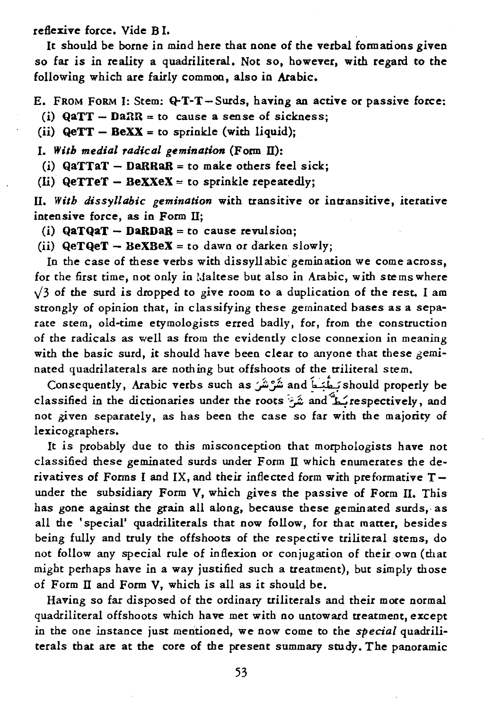reflexive force. Vide B I.

It should be borne in mind here that none of the verbal formations given so far is in reality a quadriliteral. Not so, however, with regard to the following which are fairly common, also in Arabic.

- E. FROM FORM I: Stem: Q-T-T-Surds, having an active or passive force:
- (i)  $QaTT DaRR = to cause a sense of sickness;$
- (ii)  $QeTT BEXX = to$  sprinkle (with liquid);
- *I. With medial radical gemination* (Form IT):
- (i)  $QaTTaT DaRRaR = to make others feel sick;$
- (Ii)  $QeTTeT BeXXeX = to$  sprinkle repeatedly;

IT. *With dissyllabic gemination* with transitive or intransitive, iterative intensive force, as in Form II;

- (i)  $QaTQaT DaRDaR =$  to cause revulsion;
- (ii)  $QeTQeT BeXBeX = to dawn or darken slowly;$

In the case of these verbs with dissyllabic gemination we come across, for the first time, not only in Maltese but also in Arabic, with stems where  $\sqrt{3}$  of the surd is dropped to give room to a duplication of the rest. I am strongly of opinion that, in classifying these geminated bases as a separate stem, old-time etymologists erred badly, for, from the construction of the radicals as well as from the evidendy close connexion in meaning with the basic surd, it should have been clear to anyone that these geminated quadrilaterals are nothing but offshoots of the triliteral stem.

Consequently, Arabic verbs such as:);'::J:. and ~~ should properly be classified in the dictionaries under the roots : هُشَ<sup>ة</sup> and *A* respectively, and not given separately, as has been the case so far with the majority of lexicographers.

It is probably due to this misconception that morphologists have not classified these geminated surds under Form  $\rm{II}$  which enumerates the derivatives of Forms I and IX, and their inflected form with preformative Tunder the subsidiary Form V, which gives the passive of Form II. This has gone against the grain all along, because these geminated surds, as all the • special' quadriliterals that now follow, for that matter, besides being fully and truly the offshoots of the respective triliteral stems, do not follow any special rule of inflexion or conjugation of their own (that might perhaps have in a way justified such a treatment), but simply those of Form  $II$  and Form  $V$ , which is all as it should be.

Having so far disposed of the ordinary triliterals and their more normal quadriliteral offshoots which have met with no untoward treatment, except in the one instance just mentioned, we now come to the *special* quadriliterals that are at the core of the present summary study. The panoramic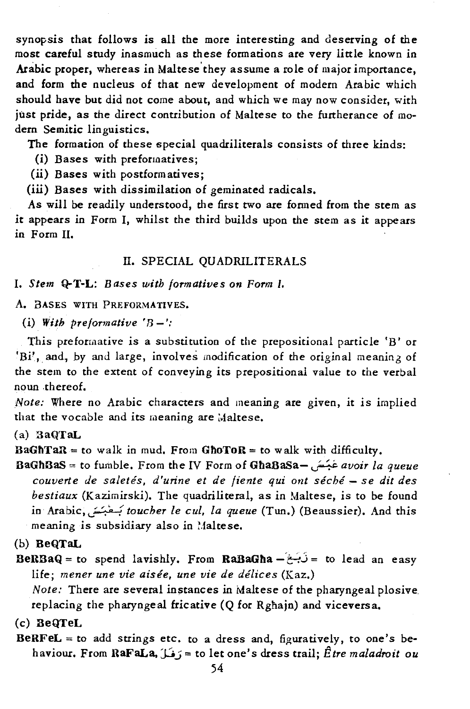synopsis that follows is all the more interesting and deserving of the most careful study inasmuch as these formations are very little known in Arabic proper, whereas in Maltese'they assume a role of major importance, and form the nucleus of that new development of modern Arabic which should have but did not come about, and which we may now consider, *with*  just pride, as the direct contribution of Maltese to the furtherance of modern Semitic linguistics.

The formation of these special quadriliterals consists of three kinds:

- (i) Bases with preformatives;
- (ii) Bases with postformatives;
- (iii) Bases with dissimilation of geminated radicals.

As will be readily understood, the first two are formed from the stem as it appears in Form I, whilst the third builds upon the stem as it appears in Form 11.

#### II. SPECIAL QUADRILITERALS

#### *I. Stem* Q-T-L: *Bases with formatives on Form I.*

A. BASES WITH PREFORMATlVES.

(i) With preformative  $B -$ :

This preformative is a substitution of the prepositional particle 'B' or 'Bi', and, by and large, involves modification of the original meaning of the stem to the extent of conveying its prepositional value to the verbal noun .thereof.

*Note:* Where no Arabic characters and meaning are given, it is implied that the vocable and its meaning are Maltese.

#### (a) 3aQTaL

 $BaGhTaR =$  to walk in mud. From GhoToR = to walk with difficulty.

BaGf'lBaS = to fumble. From the IV Form of GbaBaSa- u;;.~ *avoir la queue couverte de saletes, d'urine et de fiente qui orlt seche* - se *dit des bestiaux* (Kazimirski). The quadriliteral, as in Maltese, is to be found in Arabic,~: 'j. '[ *toucher le cuI, la queue* (Tun.) (Beaussier). And this meaning is subsidiary also in Maltese.

(b) BeQTaL

BeRBaQ = to spend lavishly. From RaBaGha -  $\hat{c}$ + io lead an easy life; *mener une vie aisée*, une vie de délices (Kaz.)

*Note:* There are several instances in Maltese of the pharyngeal plosive replacing the pharyngeal fricative (Q for Rghajn) and viceversa.

(c) 3eQTeL

BeRFeL = to add strings etc. to a dress and, figuratively, to one's behaviour. From RaFaLa, JJ.; = to let one's dress trail; E *tre maladroit ou*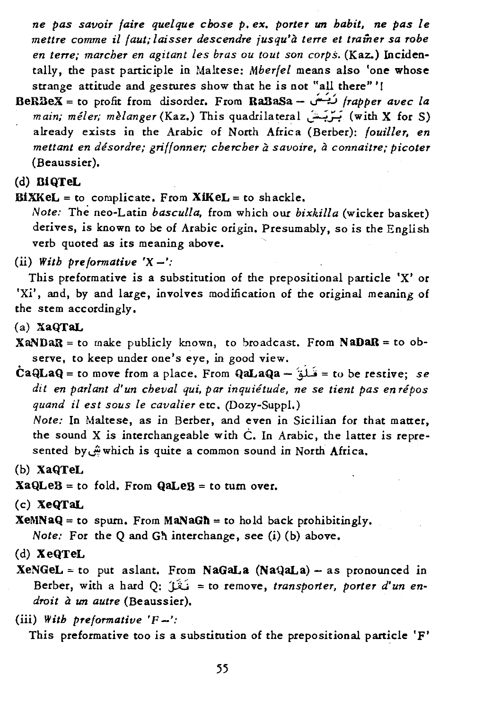*ne pas savoir faire quelque chose p. ex. porter un habit, ne pas le mettre comme* il *faut; laisser descendre jusqu'a terre et trainer sa robe en terre; marcher en agitant les bras ou tout son corps.* (Kaz.) Incidentally, the past participle in Maltese: *Mberfel* means also 'one whose strange attitude and gestures show that he *is* not "all there" "

- BeRBeX = to profit from disorder. From RaSaSa ~..J *frapper avec la*  main; méler; mèlanger (Kaz.) This quadrilateral بَرْبَتْ) (with X for S) already exists in the Arabic of North Africa (Berber): *foul1ler, en mettant en desordre,' griffonner; chercher a savoire, a connaitre,' picoter*  (Beaussier).
- (d) BiQTeL

 $BiXKeL = to complete. From XiKeL = to shockle.$ 

*Note;* The neo-Latin *basculla,* from which our *bixkilia* (wicker basket) derives, *is* known to be of Arabic origin. Presumably, so is the English verb quoted as its meaning above.

(ii) With preformative  $'X -'$ :

This preformative *is* a substitution of the prepositional particle 'X' or *'Xi',* and, by and large, involves modification of the original meaning of the stem accordingly.

- (a) XaQTaL
- $XaNDaR = to$  make publicly known, to broadcast. From  $NaDaR = to$  observe, to keep under one's eye, in good view.
- $\text{CaQLaQ} = \text{to move from a place. From QaLaQa} \hat{a} = \text{to be restrictive; se}$ *dit en parlant d'un cheval qui, par inquietude, ne se tient pas en repos quand* il *est sous le cavalier* etc. (Dozy-Suppl.)

*Note;* In Maltese, as in Berber, and even in Sicilian for that matter, the sound X is interchangeable with  $\dot{C}$ . In Arabic, the latter is represented by..?which *is* quite a common sound in North Africa.

- (b) XaQTeL
- $XaQLeB = to fold.$  From  $QaLeB = to turn over.$
- (c) XeQTaL

 $XeMNaQ = to$  spurn. From  $MaNaGh = to$  hold back prohibitingly. *Note;* For the Q and Gh interchange, see (i) (b) above.

- (d) XeQTeL
- $XeNGeL =$  to put aslant. From NaGaLa (NaQaLa) as pronounced in Berber, with a hard Q: نَقْلَ = to remove, *transporter, porter d'un endroit a un autre* (Beaussier).

*(iii) With preformative 'P-':* 

This preformative too is a substitution of the prepositional particle 'F'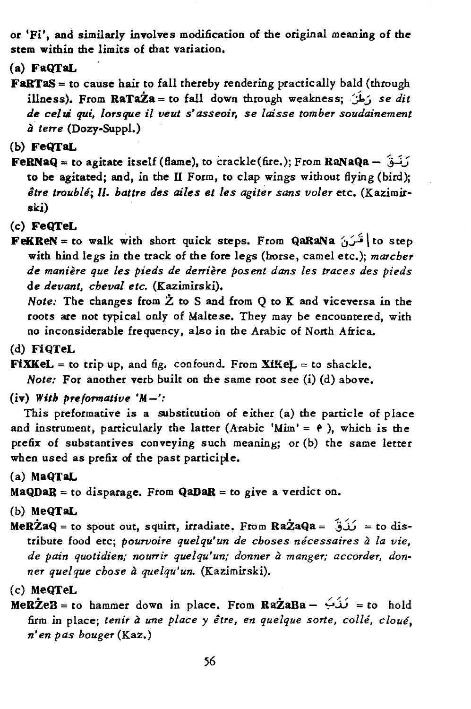or 'Fi', and similarly involves modification of the original meaning of the stem within the limits of that variation.

(a) FaQTaL

**FaRTaS** = to cause hair to fall thereby rendering practically bald (through illness). From RaTa $\dot{z}$ a = to fall down through weakness:  $\dot{\theta}$ , se dit *de celui qui, lorsque* il *veut s' asseoir, se laisse tomber soudainement a terre* (Dozy-Suppl.)

(b) FeQTaL

 $FekNaQ =$  to agitate itself (flame), to crackle(fire.); From RaNaQa -  $\tilde{Q}$ to be agitated; and, in the II Form, to clap wings without flying (bird): *itre trouble; 11. battre des ailes et les agiter sans voler* etc. (Kazimirski)

(c) FeQTeL

 $FekREN =$ to walk with short quick steps. From QaRaNa  $\sim$  to step with hind legs in the track of the fore legs (horse, camel etc.); *marcher de maniere que les pieds de derriere posent dans les traces des pieds de devant, cheval etc.* (Kazimirski).

*Note:* The changes from  $\dot{Z}$  to S and from Q to K and viceversa in the roots are not typical only of Maltese. They may be encountered, with no inconsiderable frequency, also in the Arabic of North Africa.

(d) FiQTeL

 $\textbf{Fix} \textbf{Kel} = \text{to trip up, and fig. confound. From } \textbf{Xi} \textbf{Kel} = \text{to shackle.}$ 

*Note:* For another verb built on the same root see (i) (d) above.

(iv) *With preformative* 'M -':

This preformative is a substitution of either (a) the particle of place and instrument, particularly the latter (Arabic 'Mim' =  $\theta$ ), which is the prefix of substantives conveying such meaning; or (b) the same letter when used as prefix of the past participle.

(a) MaQTaL

 $MaQDaR =$  to disparage. From  $QaDaR =$  to give a verdict on.

(b) MeQTaL

MeRZaQ = to spout out, squirt, irradiate. From RaZaQa =  $\hat{u}$  = to distribute food etc; *pourvoire quelqu'un de choses necessaires a la vie,*  de pain quotidien; nourrir quelqu'un; donner à manger; accorder, don*ner quelque chose a quelqu'un.* (Kazimirski).

 $$ firm in place; *tenir* a *une place* y *etre, en quelque sorte, colle, cloue, n' en pas bouger* (Kaz.)

<sup>(</sup>c) MeQTeL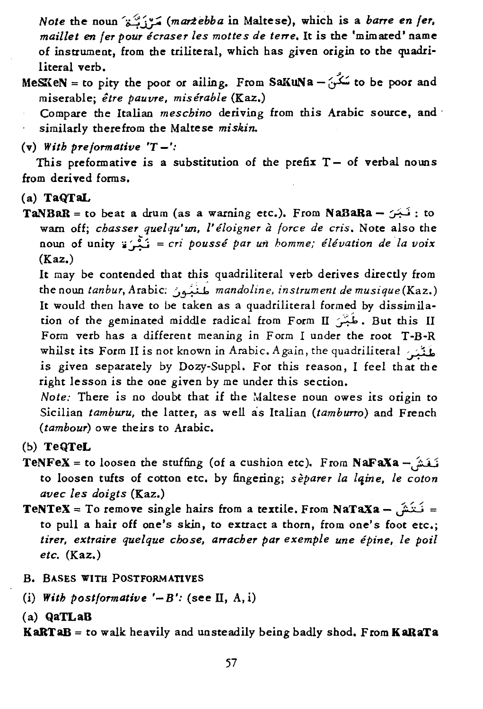*Note* the noun  $\tilde{c}$  *(martebba* in Maltese), which is a *barre en fer*, *mail/et en fer pour ecraser les mottes de terre.* It is the 'mimated' name of instrument, from the triliteral, which has given origin to the quadri-

literal verb.<br>MeSKeN = to pity the poor or ailing. From SaKuNa  $-\frac{1}{2}$  to be poor and miserable; *etre pauvre, miserable* (Kaz.)

Compare the Italian *meschino* deriving from this Arabic source, and, similarly there from the Maltese *miskin..* 

 $(v)$  *With preformative 'T-'*:

This preformative is a substitution of the prefix  $T -$  of verbal nouns from derived forms.

## (a) TaQTaL

 $TANBAR =$ to beat a drum (as a warning etc.). From NaBaRa -  $\sim$ : to warn off; *chasser quelqu'un*, l'éloigner à force de cris. Note also the noun of unity ;;~ = *cri pousse par un homme,' elivation de la voix*  (Kaz.)

It may be contended that this quadriliteral verb derives directly from the noun *tanbur*, Arabic: مَنْبُون *mandoline, instrument de musique*(Kaz.) It would then have to be taken as a quadriliteral formed by dissimilation of the geminated middle radical from Form II ، طُبْسَ But this II Form verb has a different meaning in Form I under the root T-B-R whilst its Form II is not known in Arabic. Again, the quadriliteral : يُغْيُبُ is given separately by Dozy-Suppl. For this reason, I feel that the right lesson is the one given by me under this section.

*Note:* There is no doubt that if the Maltese noun owes its origin to Sicilian *tamburu,* the latter, as well as Italian *(tamburro)* and French *(tambour)* owe theirs to Arabic.

- (b) TeQTeL
- TeNFeX = to loosen the stuffing (of a cushion etc). From NaFaXa  $\hat{\mu}$ to loosen tufts of cotton etc. by fingering; *separer la lliine, le coton avec les doigts* (Kaz.)
- TeNTeX = To remove single hairs from a textile. From NaTaXa  $\hat{i}$ : to pull a hair off one's skin, to extract a thorn, from one's foot etc.; tirer, extraire quelque chose, arracher par exemple une épine, le poil *etc.* (Kaz.)
- B. BASES WITH POSTFORMATlVES
- (i) With postformative  $'-B'$ : (see II, A, i)
- (a) QaTLaB

KaRTaB = to walk heavily and unsteadily being badly shod. From KaRaTa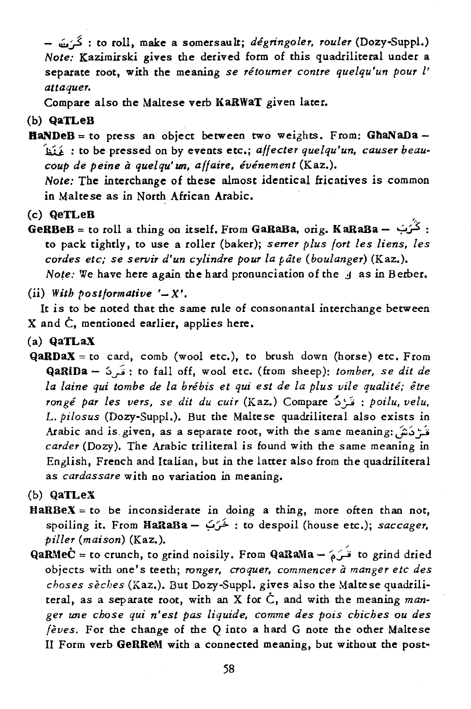- ..:;.,:,3 : to roll, make a somersault; *degringoler, rouler* (Dozy-Suppl.) *Note:* Kazimirski gives the derived form of this quadriliteral under a separate root, with the meaning *se retoumer contre quelqu'un pour l' attaquer.* 

Compare also the Maltese verb KaRWaT given later.

# (b) QaTLeB

- $HaNDeB = to press an object between two weights. From: GhaNaba -$ ~ : to be pressed on by events etc.; *affecter quelqu'un, causer beaucoup de peine* it *quelqu' un, affaire, evenement* (Kaz.). *Note:* The interchange of these almost identical fricatives is common in Maltese as in North African Arabic.
- (c) QeTLeB
- GeRBeB = to roll a thing on itself. From GaRaBa, orig. KaRaBa  $2x + 1$ . to pack tightly, to use a roller (baker); *serrer plus fort les liens, les cordes etc; se servir d'un cylindre pour la pate (boulanger)* (Kaz.). *Note:* We have here again the hard pronunciation of the *j* as in Berber.
- $(ii)$  *With postformative '-X'.*

It is to be noted that the same rule of consonantal interchange between X and C, mentioned earlier, applies here.

- (a) QaTLaX
- $QaRDaX =$  to card, comb (wool etc.), to brush down (horse) etc. From QaRiDa - :>~ : to fall off, wool etc. (from sheep): *tomber. se dit de la laine qui tombe de la brebis et qui est de la plus vile qualite; etre ronge par les vers, se dit du cuir* (Kaz.) Compare ~~ : *poilu, velu,*  L. *pilosus* (Dozy-Suppl.). But the Maltese quadriliteral also exists in Arabic and is given, as a separate root, with the same meaning: ذَمَ نَشَى *carder* (Dozy). The Arabic triliteral is found with the same meaning in English, French and Italian, but in the latter also from the quadriliteral as *cardassare* with no variation in meaning.
- (b) QaTLeX
- $HaRBeX =$  to be inconsiderate in doing a thing, more often than not, spoiling it. From BaRaBa - .;:.~ : to despoil (house etc.); *saccager. piller (maison)* (Kaz.).
- QaRMeC = to crunch, to grind noisily. From QaRaMa  $\omega$  io grind dried objects with one's teeth; *ranger. croquer. commencer* it *manger etc des choses sèches* (Kaz.). But Dozy-Suppl. gives also the Maltese quadriliteral, as a separate root, with an X for C, and with the meaning *manger une chose qui n'est pas liquide, comme des pois chiches ou des feves.* For the change of the Q into a hard G note the other Maltese 11 Form verb GeRReM with a connected meaning, but without the post-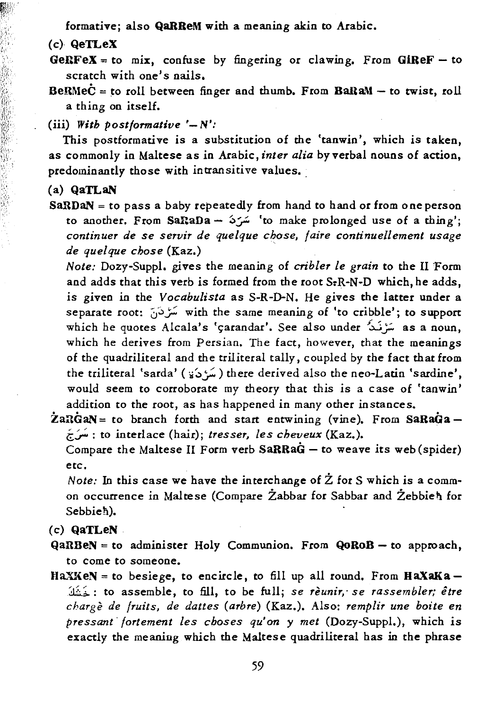formative; also QaRReM with a meaning akin to Arabic.

(c) QeTLeX

- $GERFA = to mix$ , confuse by fingering or clawing. From  $GIREF to$ scratch with one's nails.
- $BekMeC =$  to roll between finger and thumb. From  $Bakam -$  to twist, roll a thing on itself.

(iii) *With postformative*  $'-N'$ :

This postformacive is a substitution of the 'tanwin', which *is* taken, as commonly in Maltese as in Arabic, *inter alia* by verbal nouns of action, predominantly those with intransitive values.

(a) QaTLaN

SaxDaN = to pass a baby repeatedly from hand to hand or from 0 ne person to another. From SaRaDa -- 'سَرَدَ 'to make prolonged use of a thing'; *continuer de se servir de quelque chose, faire continuellement usage de quelque chose* (Kaz.)

*Note:* Dozy-Suppl. gives the meaning of *cribler le grain* to the II Form and adds that this verb is formed from the root S<sub>r</sub>R-N-D which, he adds, *is* given in the *Vocabulista* as S-R-D-N. He gives the latter under a separate root: 0~;':: with the same meaning of 'to cribble'; *to* support which he quotes Alcala's 'çarandar'. See also under سَرْنَدُ as a noun, which he derives from Persian. The fact, however, that the meanings of the quadriliteral and the triliteral tally, coupled by the fact that from the triliteral 'sarda' (سَرْدَة) there derived also the neo-Latin 'sardine', would seem to corroborate my theory that this is a case of 'tanwin' addition to the root, as has happened in many other instances.

 $\angle$  22RGaN = to branch forth and start entwining (vine). From SaRaGa i;;:;' : to interlace (hair); *tresser, les cheveux* (Kaz.).

Compare the Maltese 11 Form verb SaRRaG - to weave *its* web (spider) etc.

*Note:* In this case we have the interchange of  $\dot{Z}$  for S which is a common occurrence in Maltese (Compare Żabbar for Sabbar and Żebbieh for Sebbieh).

(c) QaTLeN

 $QaRBeN = to$  administer Holy Communion. From  $QoRoB - to$  approach, to come to someone.

HaXKeN = to besiege, to encircle, to fill up all round. From  $HaXaKa-$ :1.~;~: to assemble, to fill, to be full; *se reunir,' se rassembler; etre charge de fruits, de dattes (arbre)* (Kaz.). Also: *remplir une boite en pressant· fortement les choses qu'on* y *met* (Dozy-Suppl.), which *is*  exactly the meaning which the Maltese quadriliteral has in the phrase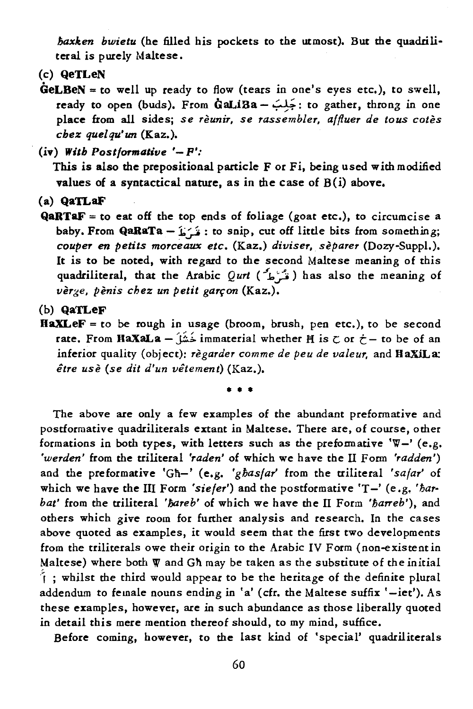*haxken bwietu* (he filled his pockets to the utmost). But the quadriliteral is purely Maltese.

- (c) QeTLeN
- $\text{GeLEEN} = \text{to well up ready to flow (tears in one's eyes etc.), to swell, }$ ready to open (buds). From GaLiBa - *';'l';':* to gather, throng in one place from all sides; *se reunir, se rassembler, affluer de taus cotes chez quelqu'tm* (Kaz.).

 $(iv)$  *With Postformative '-*  $P'$ *:* 

This is also the prepositional particle F or Fi, being used with modified values of a syntactical nature, as in the case of B(i) above.

(a) QaTLaF

 $QARTAF = to eat off the top ends of foliage (goat etc.), to circumcise a$ baby. From QaRaTa - $i \in \mathbb{R}$ : ito snip, cut off little bits from something; *couper en petits morceaux etc.* (Kaz.) *diviser, separer* (Dozy-Suppl.). It is to be noted, with regard to the second Maltese meaning of this quadriliteral, that the Arabic *Qurt* ( $\hat{L}$ افَہْ $d$ ) has also the meaning of vèr<sub>ze, *pènis chez un petit garcon* (Kaz.).</sub>

(b) QaTLeF

 $\textbf{HaX} \textbf{LeF} = \text{to be rough in usage (broom, brush, pen etc.), to be second}$ rate. From BaxaLa - ~ immaterial whether M *is* C or *t* - to be of an inferior quality (object): *règarder comme de peu de valeur*, and HaXiLa: *etre use (se dit d'un vetement)* (Kaz.).

• • •

The above are only a few examples of the abundant preformative and postformative quadriliterals extant in Maltese. There are, of course, other formations in both types, with letters such as the preformative ' $\nabla$ -' (e.g. *'werden'* from the ttiliteral *'raden'* of which we have the II Form *'radden')*  and the preformative 'Gh-' (e.g. *'ghasfar'* from the ttiliteral *'safar'* of which we have the III Form 'siefer') and the postformative 'T-' (e.g. 'har*bat'* from the triliteral 'bareb' of which we have the II Form 'barreb'), and others which give room for further analysis and research. In the cases above quoted as examples, it would seem that the first two developments from the triliterals owe their origin to the Arabic IV Form (non-existentin Maltese) where both  $\Psi$  and Gh may be taken as the substitute of the initial  $\hat{i}$ ; whilst the third would appear to be the heritage of the definite plural addendum to female nouns ending in 'a' (cfr. the Maltese suffix '-iet'). As these examples, however, are in such abundance as those liberally quoted in detail this mere mention thereof should, to my mind, suffice.

Before coming, however, to the last kind of 'special' quadriliterals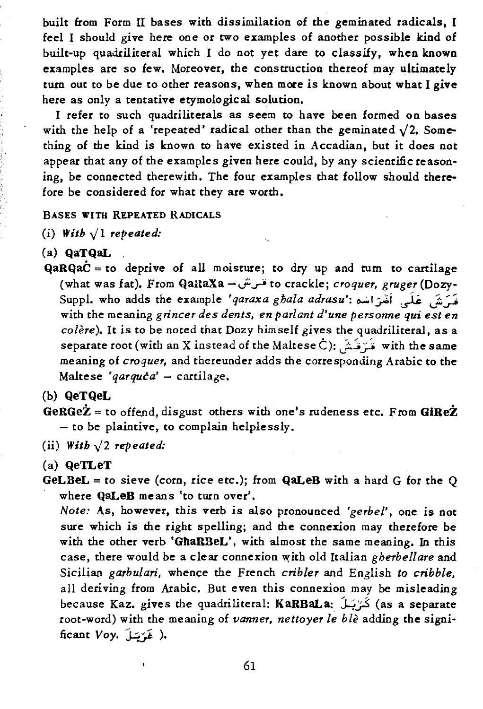built from Form U bases with dissimilation of the geminated radicals, I feel I should give here one or two examples of another possible kind of built-up quadriliteral which I do not yet dare to classify, when known examples are so few. Moreover, the construction thereof may ultimately tum out to be due to other reasons, when more is known about what I give here as only a tentative etymological solution.

I refer to such quadriliterals as seem to have been formed on bases with the help of a 'repeated' radical other than the geminated  $\sqrt{2}$ . Something of the kind is known to have existed in Accadian, but it does not appear that any of the examples given here could, by any scientific reasoning, be connected therewith. The four examples that follow should therefore be considered for what they are worth.

### BASES WITH REPEATED RADICALS

(i)  $With \sqrt{1} repeated:$ 

- (a) QaTQaL ,
- $QaRQaC =$  to deprive of all moisture; to dry up and turn to cartilage (what was fat). From QaUaxa -..;.~ to crackle; *croquer, gruger* (Dozy-Suppl. who adds the example *'qaraxa ghala adrasu':* ~I~i ,).i: \.,.:z~ with the meaning *grincer des dents, en pari ant d'une personne qui est en colere).* It is to be noted that Dozy himself gives the quadriliteral, as a separate root (with an X instead of the Maltese C): لَمْ تَدْيُنْ with the same meaning of *croquer,* and thereunder adds the corresponding Arabic to the Maltese '*qarquca*' - cartilage.

(b) QeTQeL

- GeRGe $\dot{Z}$  = to offend, disgust others with one's rudeness etc. From GiRe $\dot{Z}$ - to be plaintive, to complain helplessly.
- (ii) With  $\sqrt{2}$  *repeated:*
- (a) QeTLeT
- $GeLBeL =$  to sieve (corn, rice etc.); from  $QaLeB$  with a hard G for the Q where QaLeB means 'to turn over'.

*Note:* As, however, this verb is also pronounced *'gerbel',* one is not sure which is the right spelling; and the connexion may therefore be with the other verb 'GhaRBeL', with almost the same meaning. In this case, there would be a clear connexion with old Italian *gherbellare* and Sicilian *garbulari,* whence the French *cribler* and English *to cribble,*  all deriving from Arabic. But even this connexion may be misleading because Kaz. gives the quadriliteral: KaRBaLa: كَرْيَىلَ (as a separate root-word) with the meaning of *vanner, nettoyer le bie* adding the significant *Voy.*  $j \in \mathcal{N}$ .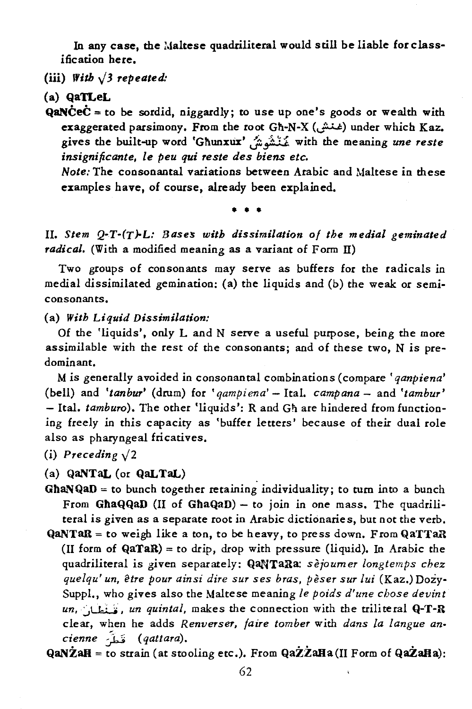In any case, the Maltese quadriliteral would still be liable for classification here.

(iii) With  $\sqrt{3}$  repeated:

(a) QaTLeL

**QaNCeC** = to be sordid, niggardly; to use up one's goods or wealth with exaggerated parsimony. From the root Gh-N-X (. غنت) under which Kaz. gives the built-up word 'Ghunxlix' J...i-;' 'Li with the meaning *une reste insignificante. le peu qui reste des biens etc.* 

*Note:* The consonantal variations between Arabic and Maltese in these examples have, of course, already been explained.

• • •

*11. Stem Q-r-(Y)-L: Bases with dissimilation of the medial geminated*  radical. (With a modified meaning as a variant of Form II)

Two groups of consonants may serve as buffers for the radicals in medial dissimilated gemination: (a) the liquids and (b) the weak or semiconsonants.

(a) *With Liquid Dissimilation:* 

Of the 'liquids', only Land N serve a useful purpose, being the more assimilable with the rest of the consonants; and of these two, N is predominant.

M is generally avoided in consonantal combinations (compare' *qanpiena'*  (bell) and *'tanbur'* (drum) for *'qampiena'* - Ital. *campana* - and *'tambur'*  - Ital. *tamburo).* The other 'liquids': Rand Gh are hindered from functioning freely in this capacity as 'buffer letters' because of their dual role also as pharyngeal fricatives.

(i) Preceding  $\sqrt{2}$ 

(a) QaNTaL (or QaLTaL)

- GhaNQaD = to bunch together retaining individuality; to turn into a bunch From GhaQQaD (II of GhaQaD) - to join in one mass. The quadriliteral is given as a separate root in Arabic dictionaries, but not the verb.
- $QaNTaR =$  to weigh like a ton, to be heavy, to press down. From  $QaTTaR$ (II form of  $QaTaR$ ) = to drip, drop with pressure (liquid). In Arabic the quadriliteral is given separately: QaNTaRa: *sèjoumer longtemps chez quelqu' un, @tre pour ainsi dire sur ses bras, peser sur lui* (Kaz.) Dozy-Suppl., who gives also the Maltese meaning *le poids d'une cbose devint*  un, *i. un quintal*, makes the connection with the triliteral Q-T-R clear, when he adds *Renverser, /aire tomber* with *dans la fangue ancienne* ~ *(qattara).*

 $QaNZaH =$  to strain (at stooling etc.). From  $QaZZaHa(II)$  Form of  $QaZaHa$ ):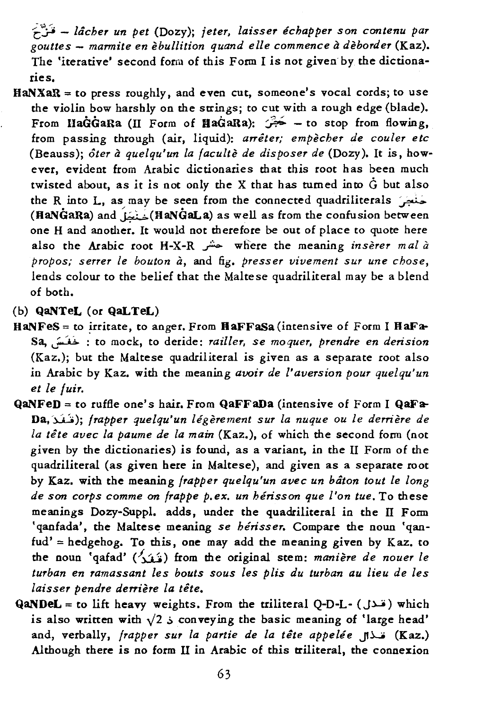f~ - *Zacher un pet* (Dozy); *jeter, Zaisser ichapper son contenu par gouttes* - *marmite en ebullition quand elle commence a deborder* (Kaz). The 'iterative' second form of this Form I is not given" by the dictionaries.

HaNXaR = to press roughly, and even cut, someone's vocal cords; to use the violin bow harshly on the strings; to cut with a rough edge (blade). From HaGGaRa (II Form of HaGaRa):  $\overrightarrow{G}$  - to stop from flowing, from passing through (air, liquid): *arriter; empecher de couler etc*  (Beauss); *ater a quelqu'un la faculte de dis poser de* (Dozy). It is, however, evident from Arabic dictionaries that this root has been much twisted about, as it is not only the X that has turned into  $\dot{G}$  but also the R into L, as may be seen from the connected quadriliterals  $\sim$ (HaNGaRa) and  $\lim_{x\to\infty}$ (HaNGaLa) as well as from the confusion between one H and another. It would not therefore be out of place to quote here also the Arabic root H-X-R  $\sim$  where the meaning *inserer mal a propos; serter le bouton à, and fig. presser vivement sur une chose,* lends colour to the belief that the Maltese quadriliteral may be a blend of both.

# (b) QaNTeL (or QaLTeL)

- $HANFes =$  to irritate, to anger. From  $HAFFaSa$  (intensive of Form I  $HAFa-$ Sa, ~ : to mock, to deride: *railler, se moquer, prendre en derision*  (Kaz.); but the Maltese quadriliteral is given as a separate root also in Arabic by Kaz. with the meaning *avoir de l'aversion pour quelqu'un et le fuir.*
- QaNFeD = to ruffle one's hair. From QaFFaDa (intensive of Form I QaFa-Da,~); *frapper quelqu'un legerement sur la nuque ou le derriere de la tete avec la paume de la main* (Kaz.), of which the second form (not given by the dictionaries) *is* found, as a variant, in the 11 Form of the quadriliteral (as given here in Maltese), and given as a separate root by Kaz. with the meaning *frapper quelqu'un avec un baton tout le long*  de son corps comme on frappe p.ex. un hérisson que l'on tue. To these meanings Dozy-Suppl. adds, under the quadriliteral in the IT Form 'qanfada', the Maltese meaning se hérisser. Compare the noun 'qan $fud' = hedgehog$ . To this, one may add the meaning given by Kaz. to the noun 'qafad' (~/,j) from the original stem: *maniere de nouer le turban en ramassant les bouts sous les plis du turban au lieu de les laisser pendre derriere la tete.*
- QaNDeL = to lift heavy weights. From the triliteral Q-D-L- ( $J^*$ ) which is also written with  $\sqrt{2}$  is conveying the basic meaning of 'large head' and, verbally, *frapper sur la partie de la tête appelée* [Kaz.] Although there is no form 11 in Arabic of this triliteral, the connexion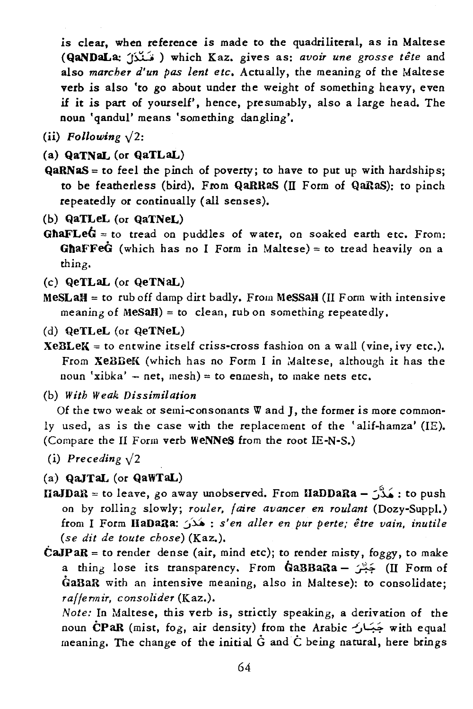is clear, when reference *is* made to the quadriliteral, as in Maltese (QaNDaLa: J).":.';' ) which Kaz. gives as: *avoir une grosse the* and also *marcher d'un pas lent etc.* Actually, the meaning of the Maltese verb is also 'to go about under the weight of something heavy, even if it is part of yourself', hence, presumably, also a large head. The noun 'qandul' means 'something dangling'.

- (ii) *Following*  $\sqrt{2}$ :
- (a) QaTNaL (or QaTLaL)
- $QaRNaS =$  to feel the pinch of poverty; to have to put up with hardships; to be featherless (bird). From QaRRaS (II Form of QaRaS): to pinch repeatedly or continually (all senses).
- (b) QaTLeL (or QaTNeL)
- GhaFLe $\dot{G}$  = to tread on puddles of water, on soaked earth etc. From: **GhaFFeG** (which has no I Form in Maltese) = to tread heavily on a thing.
- (c) QeTLaL (or QeTNaL)
- $MesLaH =$  to rub off damp dirt badly. From MeSSaH (II Form with intensive meaning of MeSaH) = to clean, rub on something repeatedly.
- (d) QeTLeL (or QeTNeL)
- $XeBLeK =$  to entwine itself criss-cross fashion on a wall (vine, *ivy* etc.). From XeBBeK (which has no Form I in Maltese, although it has the noun 'xibka'  $-$  net, mesh) = to enmesh, to make nets etc.
- (b) *With Weak Dissimilation*

Of the two weak or semi-consonants Wand J, the former *is* more commonly used, as is the case with the replacement of the 'alif-hamza' (lE). (Compare the 11 Form verb WeNNeS from the root IE-N-S.)

(i) Preceding  $\sqrt{2}$ 

(a) QaJTaL (or QaWTaL)

 $IIAJDAR =$  to leave, go away unobserved. From  $IIBDARA - \hat{J}$ : to push on by rolling slowly; *rouler, faire avancer en roulant* (Dozy-Suppl.) from I Form HaDaRa: (s'en aller en pur perte; être vain, inutile *(se dit de toute chose)* (Kaz.).

 $\dot{C}aJPaR =$  to render dense (air, mind etc); to render misty, foggy, to make a thing lose its transparency. From GaBBaRa - بَسْنَ (II Form of GaBaR with an intensive meaning, also *in* Maltese): to consolidate; *raffermir, consolider* (Kaz.).

*Note:* In Maltese, *this* verb *is,* strictly speaking, a derivation of the noun CPaR (mist, fog, air density) from the Arabic  $\leftrightarrow$  with equal meaning. The change of the initial G and C being natural, here brings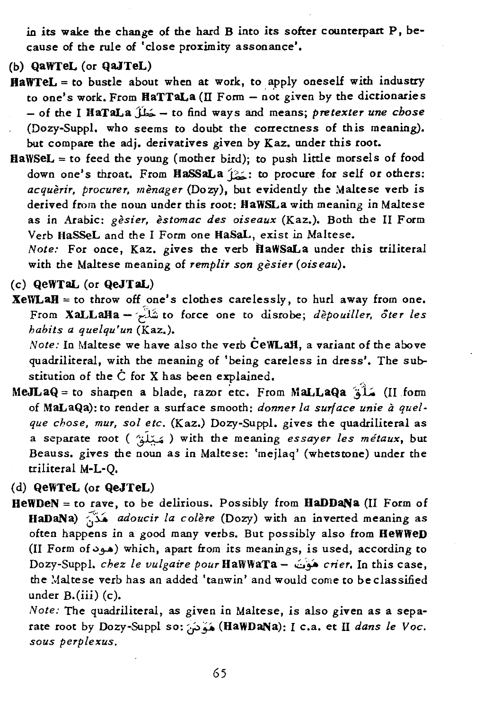in its wake the change of the hard B into its softer counterpart P, because of the rule of 'close proximity assonance'.

- (b) QaWTeL (or QaJTeL)
- HaWTeL = to bustle about when at work, to apply oneself with industry to one's work. From HaTTaLa (II Form  $-$  not given by the dictionaries - of the I HaTaLa jJ,;.. - to find ways and means; *pretexter une chose*  (Dozy-Suppl. who seems to doubt the correctness of this meaning). but compare the adj. derivatives given by Kaz. under this root.
- $HawSEL = to feed the young (mother bird); to push little morsels of food$ down one's throat. From HaSSaLa (2: to procure for self or others: *acquerir, procurer, menager* (Dozy), but evidently the Maltese verb is derived from the noun under this root: HaWSLa with meaning in Maltese as in Arabic: *gesier, estomac des oiseaux* (Kaz.). Both the 11 Form Verb HaSSeL and the I Form one HaSaL, exist in Maltese.

*Note:* For once, Kaz. gives the verb ftaWSaLa under this ttiliteral with the Maltese meaning of *remplir son gesier* (oiseau).

(c) QeWTaL (or QeJTaL)

 $XeWLaH =$  to throw off one's clothes carelessly, to hurl away from one. From XaLLalIa - '~\_ll to force one to disrobe; *depouiller. ater les habits a quelqu'un* (Kaz.).

*Note:* In Maltese we have also the verb CeWLaH, a variant of the above quadriliteral, with the meaning of 'being careless in dress'. The substitution of the  $\dot{C}$  for X has been explained.

ll form MaLLaQa صَلَّقَ) (II form MaLLaQa أَسَلَّقَ) (II form of MaLaQa): to render a surface smooth: *donner la surface unie a quelque chose, mur, sol etc.* (Kaz.) DoZY-Suppl. gives the quadriliteral as a separate root ( ~J~ ~ ) with the meaning *essayer les metaux,* but Beauss. gives the noun as in Maltese: 'mejlaq' (whetstone) under the triliteral M-L-Q.

(d) QeWTeL (or QeJTeL)

 $HeWDeN = to$  rave, to be delirious. Possibly from  $HaDDaNa$  (II Form of HaDaNa) ~~ *adoucir la colere* (Dozy) with an inverted meaning as often happens in a good many verbs. But possibly also from HeWWeD (II Form of  $\epsilon$ ) which, apart from its meanings, is used, according to Dozy-Suppl. *chez le vulgaire pour* HaWWaTa - .:::;. *crier.* In this case, the Maltese verb has an added 'tanwin' and would come to be classified under B.(iii) (c).

*Note:* The quadriliteral, as given in Maltese, is also given as a separate root by Dozy-Suppl so: وَهَدَمَنَ (HaWDaNa): I c.a. et II *dans le Voc*. *sous perplexus.*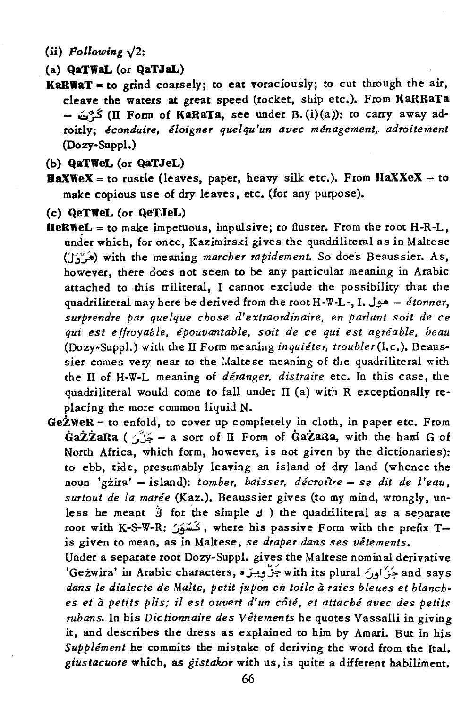- (ii)  $Following \sqrt{2}$ :
- (a) QaTWaL (or QaTJaL)
- $KaRWAT = to$  grind coarsely; to eat voraciously; to cut through the air, cleave the waters at great speed (rocket, ship etc.). From KaRRaTa  $\omega^2$  (II Form of KaRaTa, see under B. (i)(a)): to carry away adroitly: éconduire, éloigner quelqu'un avec ménagement, adroitement (Dozy-Suppl.)
- (b) QaTWeL (or QaTJeL)
- $\texttt{HaXWEX} = \text{to}$  rustle (leaves, paper, heavy silk etc.). From  $\texttt{HaXXeX} \text{to}$ make copious use of dry leaves, etc. (for any purpose).
- (c) QeTWeL (or QeTJeL)
- $$ under which, for once, Kazimirski gives the quadriliteral as in Maltese (J:;~) with the meaning *marcher rapidement.* So does Beaussier. As, however, there does not seem to be any particular meaning in Arabic attached to this triliteral, I cannot exclude the possibility that the quadriliteral may here be derived from the root H-W-L-, I. J~ - *etonner, surprendre par quelque chose d'extraordinaire, en parlant soil de ce qui est* e *//royable, epouvantable, soit de ce qui est agreable, beau*  (Dozy-Suppl.) with the 11 Form meaning *inquieter, troubler* (I.e.). Beaussier comes very near to the Maltese meaning of the quadriliteral with the II of H-W-L meaning of *deranger, distraire* etc. In this case, the quadriliteral would come to fall under 11 (a) with R exceptionally replacing the more common liquid N.

 $GeZWER =$  to enfold, to cover up completely in cloth, in paper etc. From GaZZaRa ( $\hat{G}$ - a sort of II Form of GaZaita, with the hard G of North Africa, which form, however, is not given by the dictionaries): to ebb, tide, presumably leaving an island of dry land (whence the noun 'gzira' - island): *tomber, baisser, decroJ1re* - *se dit de l'eau, surtout de la maree* (Kaz.). Beaussier gives (to my mind, wrongly, unless he meant  $\ddot{j}$  for the simple  $J$  ) the quadriliteral as a separate root with K-S-W-R: كَسْوَنَ, where his passive Form with the prefix Tis given to mean, as in Maltese, se *draper dans ses vetements.* 

Under a separate root Dozy-Suppl. gives the Maltese nominal derivative 'Geżwira' in Arabic characters, خَزْ وِيتَرَ» with its plural جَزْ إوركرا وربح and says dans le dialecte de Malte, petit jupon en toile à raies bleues et blanches et à petits plis; il est ouvert d'un côté, et attaché avec des petits *rubans.* In his *Dictionnaire des Veternents* he quotes Vassalli in giving it, and describes the dress as explained to him by Amari. But in his *Supplement* he commits the mistake of deriving the word from the Ital. *giustacuore* which, as *gistakor* with us, is quite a different habiliment.